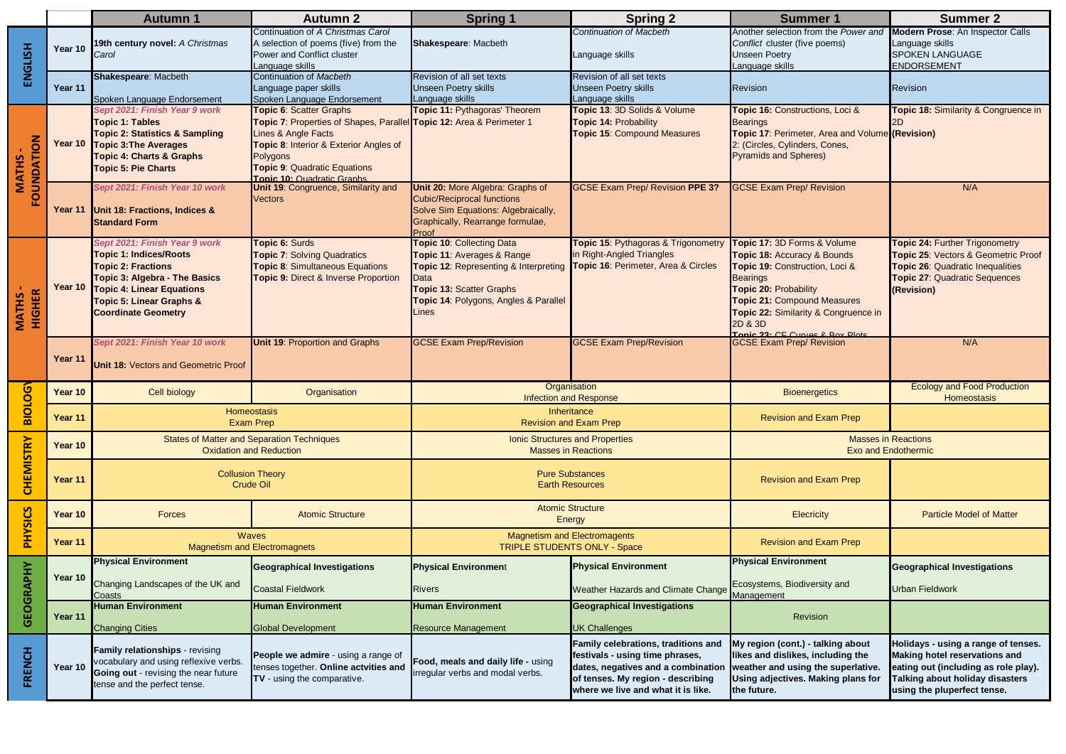| <b>Summer 1</b>                                 | <b>Summer 2</b>                         |
|-------------------------------------------------|-----------------------------------------|
| Another selection from the Power and            | Modern Prose: An Inspector Calls        |
| Conflict cluster (five poems)                   | Language skills                         |
| <b>Unseen Poetry</b>                            | <b>SPOKEN LANGUAGE</b>                  |
| Language skills                                 | <b>ENDORSEMENT</b>                      |
| <b>Revision</b>                                 | Revision                                |
|                                                 |                                         |
| Topic 16: Constructions, Loci &                 | Topic 18: Similarity & Congruence in    |
| <b>Bearings</b>                                 | 2D                                      |
| Topic 17: Perimeter, Area and Volume (Revision) |                                         |
| 2: (Circles, Cylinders, Cones,                  |                                         |
| <b>Pyramids and Spheres)</b>                    |                                         |
|                                                 |                                         |
| <b>GCSE Exam Prep/ Revision</b>                 | N/A                                     |
|                                                 |                                         |
|                                                 |                                         |
|                                                 |                                         |
|                                                 |                                         |
| Topic 17: 3D Forms & Volume                     | Topic 24: Further Trigonometry          |
| Topic 18: Accuracy & Bounds                     | Topic 25: Vectors & Geometric Proof     |
| Topic 19: Construction, Loci &                  | <b>Topic 26: Quadratic Inequalities</b> |
| <b>Bearings</b>                                 | <b>Topic 27: Quadratic Sequences</b>    |
| Topic 20: Probability                           | (Revision)                              |
| <b>Topic 21: Compound Measures</b>              |                                         |
| Topic 22: Similarity & Congruence in<br>2D & 3D |                                         |
| Tonic 23: CE Curvos & Roy Plote                 |                                         |
| <b>GCSE Exam Prep/ Revision</b>                 | N/A                                     |
|                                                 |                                         |
|                                                 |                                         |
|                                                 | <b>Ecology and Food Production</b>      |
| <b>Bioenergetics</b>                            | <b>Homeostasis</b>                      |
| <b>Revision and Exam Prep</b>                   |                                         |
|                                                 |                                         |
|                                                 | <b>Masses in Reactions</b>              |
|                                                 | <b>Exo and Endothermic</b>              |
|                                                 |                                         |
| <b>Revision and Exam Prep</b>                   |                                         |
|                                                 |                                         |
|                                                 | <b>Particle Model of Matter</b>         |
| <b>Elecricity</b>                               |                                         |
|                                                 |                                         |
| <b>Revision and Exam Prep</b>                   |                                         |
| <b>Physical Environment</b>                     | <b>Geographical Investigations</b>      |
|                                                 |                                         |
| Ecosystems, Biodiversity and                    | <b>Urban Fieldwork</b>                  |
| Management                                      |                                         |
| Revision                                        |                                         |
|                                                 |                                         |
| My region (cont.) - talking about               | Holidays - using a range of tenses.     |
| likes and dislikes, including the               | <b>Making hotel reservations and</b>    |
| weather and using the superlative.              | eating out (including as role play).    |
| Using adjectives. Making plans for              | <b>Talking about holiday disasters</b>  |
| the future.                                     | using the pluperfect tense.             |
|                                                 |                                         |

|                                              |         | <b>Autumn 1</b>                                                                                                                                                                                                                              | <b>Autumn 2</b>                                                                                                                                                                                                                                          | <b>Spring 1</b>                                                                                                                                                                                              | <b>Spring 2</b>                                                                                                                                                                         | <b>Summer 1</b>                                                                                                                                                                                                                                                             | <b>Summer 2</b>                                                                                                                                                               |
|----------------------------------------------|---------|----------------------------------------------------------------------------------------------------------------------------------------------------------------------------------------------------------------------------------------------|----------------------------------------------------------------------------------------------------------------------------------------------------------------------------------------------------------------------------------------------------------|--------------------------------------------------------------------------------------------------------------------------------------------------------------------------------------------------------------|-----------------------------------------------------------------------------------------------------------------------------------------------------------------------------------------|-----------------------------------------------------------------------------------------------------------------------------------------------------------------------------------------------------------------------------------------------------------------------------|-------------------------------------------------------------------------------------------------------------------------------------------------------------------------------|
| ENGLISH                                      | Year 10 | 19th century novel: A Christmas<br>Carol                                                                                                                                                                                                     | Continuation of A Christmas Carol<br>A selection of poems (five) from the<br>Power and Conflict cluster<br>Language skills                                                                                                                               | Shakespeare: Macbeth                                                                                                                                                                                         | <b>Continuation of Macbeth</b><br>Language skills                                                                                                                                       | Another selection from the Power and<br>Conflict cluster (five poems)<br><b>Unseen Poetry</b><br>Language skills                                                                                                                                                            | Modern Prose: An Inspector Ca<br>Language skills<br><b>SPOKEN LANGUAGE</b><br><b>ENDORSEMENT</b>                                                                              |
|                                              | Year 11 | <b>Shakespeare: Macbeth</b><br>Spoken Language Endorsement                                                                                                                                                                                   | Continuation of Macbeth<br>Language paper skills<br>Spoken Language Endorsement                                                                                                                                                                          | Revision of all set texts<br><b>Unseen Poetry skills</b><br>Language skills                                                                                                                                  | Revision of all set texts<br><b>Unseen Poetry skills</b><br>Language skills                                                                                                             | Revision                                                                                                                                                                                                                                                                    | <b>Revision</b>                                                                                                                                                               |
| $\overline{\mathbf{Q}}$<br><b>MATHS</b><br>Ä |         | Sept 2021: Finish Year 9 work<br><b>Topic 1: Tables</b><br><b>Topic 2: Statistics &amp; Sampling</b><br>Year 10 Topic 3: The Averages<br><b>Topic 4: Charts &amp; Graphs</b><br><b>Topic 5: Pie Charts</b>                                   | <b>Topic 6: Scatter Graphs</b><br>Topic 7: Properties of Shapes, Parallel Topic 12: Area & Perimeter 1<br>Lines & Angle Facts<br>Topic 8: Interior & Exterior Angles of<br>Polygons<br><b>Topic 9: Quadratic Equations</b><br>Tonic 10: Quadratic Graphs | Topic 11: Pythagoras' Theorem                                                                                                                                                                                | Topic 13: 3D Solids & Volume<br><b>Topic 14: Probability</b><br><b>Topic 15: Compound Measures</b>                                                                                      | Topic 16: Constructions, Loci &<br><b>Bearings</b><br>Topic 17: Perimeter, Area and Volume (Revision)<br>2: (Circles, Cylinders, Cones,<br><b>Pyramids and Spheres)</b>                                                                                                     | Topic 18: Similarity & Congrue                                                                                                                                                |
| FOUN                                         | Year 11 | Sept 2021: Finish Year 10 work<br>Unit 18: Fractions, Indices &<br><b>Standard Form</b>                                                                                                                                                      | Unit 19: Congruence, Similarity and<br><b>Vectors</b>                                                                                                                                                                                                    | Unit 20: More Algebra: Graphs of<br><b>Cubic/Reciprocal functions</b><br>Solve Sim Equations: Algebraically,<br>Graphically, Rearrange formulae,<br>Proof                                                    | <b>GCSE Exam Prep/ Revision PPE 3?</b>                                                                                                                                                  | <b>GCSE Exam Prep/ Revision</b>                                                                                                                                                                                                                                             | N/A                                                                                                                                                                           |
| <b>HIGHER</b><br><b>MATHS</b>                | Year 10 | Sept 2021: Finish Year 9 work<br><b>Topic 1: Indices/Roots</b><br><b>Topic 2: Fractions</b><br><b>Topic 3: Algebra - The Basics</b><br><b>Topic 4: Linear Equations</b><br><b>Topic 5: Linear Graphs &amp;</b><br><b>Coordinate Geometry</b> | <b>Topic 6: Surds</b><br><b>Topic 7: Solving Quadratics</b><br>Topic 8: Simultaneous Equations<br>Topic 9: Direct & Inverse Proportion                                                                                                                   | <b>Topic 10: Collecting Data</b><br>Topic 11: Averages & Range<br>Topic 12: Representing & Interpreting<br><b>D</b> ata<br><b>Topic 13: Scatter Graphs</b><br>Topic 14: Polygons, Angles & Parallel<br>Lines | Topic 15: Pythagoras & Trigonometry<br>in Right-Angled Triangles<br>Topic 16: Perimeter, Area & Circles                                                                                 | Topic 17: 3D Forms & Volume<br>Topic 18: Accuracy & Bounds<br>Topic 19: Construction, Loci &<br><b>Bearings</b><br><b>Topic 20: Probability</b><br><b>Topic 21: Compound Measures</b><br>Topic 22: Similarity & Congruence in<br>2D & 3D<br>Tonic 23: CE Curvos & Roy Plots | Topic 24: Further Trigonometry<br>Topic 25: Vectors & Geometric<br>Topic 26: Quadratic Inequalitie<br>Topic 27: Quadratic Sequences<br>(Revision)                             |
|                                              | Year 11 | Sept 2021: Finish Year 10 work<br><b>Unit 18: Vectors and Geometric Proof</b>                                                                                                                                                                | <b>Unit 19: Proportion and Graphs</b>                                                                                                                                                                                                                    | <b>GCSE Exam Prep/Revision</b>                                                                                                                                                                               | <b>GCSE Exam Prep/Revision</b>                                                                                                                                                          | <b>GCSE Exam Prep/ Revision</b>                                                                                                                                                                                                                                             | N/A                                                                                                                                                                           |
| <b>DG</b>                                    | Year 10 | Cell biology                                                                                                                                                                                                                                 | Organisation                                                                                                                                                                                                                                             |                                                                                                                                                                                                              | Organisation<br><b>Infection and Response</b>                                                                                                                                           | <b>Bioenergetics</b>                                                                                                                                                                                                                                                        | <b>Ecology and Food Product</b><br>Homeostasis                                                                                                                                |
| $rac{C}{B}$                                  | Year 11 |                                                                                                                                                                                                                                              | Homeostasis<br>Exam Prep                                                                                                                                                                                                                                 |                                                                                                                                                                                                              | Inheritance<br><b>Revision and Exam Prep</b>                                                                                                                                            | <b>Revision and Exam Prep</b>                                                                                                                                                                                                                                               |                                                                                                                                                                               |
|                                              | Year 10 |                                                                                                                                                                                                                                              | <b>States of Matter and Separation Techniques</b><br><b>Oxidation and Reduction</b>                                                                                                                                                                      |                                                                                                                                                                                                              | <b>Ionic Structures and Properties</b><br><b>Masses in Reactions</b>                                                                                                                    | <b>Masses in Reactions</b><br><b>Exo and Endothermic</b>                                                                                                                                                                                                                    |                                                                                                                                                                               |
| <b>CHEMISTRY</b>                             | Year 11 |                                                                                                                                                                                                                                              | <b>Collusion Theory</b><br><b>Crude Oil</b>                                                                                                                                                                                                              | <b>Pure Substances</b><br><b>Earth Resources</b>                                                                                                                                                             |                                                                                                                                                                                         | <b>Revision and Exam Prep</b>                                                                                                                                                                                                                                               |                                                                                                                                                                               |
|                                              | Year 10 | <b>Forces</b>                                                                                                                                                                                                                                | <b>Atomic Structure</b>                                                                                                                                                                                                                                  | <b>Atomic Structure</b><br>Energy                                                                                                                                                                            |                                                                                                                                                                                         | <b>Elecricity</b>                                                                                                                                                                                                                                                           | <b>Particle Model of Matter</b>                                                                                                                                               |
| <b>PHYSICS</b>                               | Year 11 | Waves<br><b>Magnetism and Electromagnets</b>                                                                                                                                                                                                 |                                                                                                                                                                                                                                                          | <b>Magnetism and Electromagents</b><br><b>TRIPLE STUDENTS ONLY - Space</b>                                                                                                                                   |                                                                                                                                                                                         | <b>Revision and Exam Prep</b>                                                                                                                                                                                                                                               |                                                                                                                                                                               |
| GEOGRAPHY                                    | Year 10 | <b>Physical Environment</b><br>Changing Landscapes of the UK and<br><b>Coasts</b>                                                                                                                                                            | Geographical Investigations<br><b>Coastal Fieldwork</b>                                                                                                                                                                                                  | <b>Physical Environment</b><br><b>Rivers</b>                                                                                                                                                                 | <b>Physical Environment</b><br><b>Weather Hazards and Climate Change</b>                                                                                                                | <b>Physical Environment</b><br>Ecosystems, Biodiversity and<br><b>Management</b>                                                                                                                                                                                            | <b>Geographical Investigations</b><br><b>Urban Fieldwork</b>                                                                                                                  |
|                                              | Year 11 | <b>Human Environment</b><br><b>Changing Cities</b>                                                                                                                                                                                           | <b>Human Environment</b><br><b>Global Development</b>                                                                                                                                                                                                    | <b>Human Environment</b><br><b>Resource Management</b>                                                                                                                                                       | <b>Geographical Investigations</b><br><b>UK Challenges</b>                                                                                                                              | Revision                                                                                                                                                                                                                                                                    |                                                                                                                                                                               |
| <b>FRENCH</b>                                | Year 10 | Family relationships - revising<br>vocabulary and using reflexive verbs.<br>Going out - revising the near future<br>tense and the perfect tense.                                                                                             | People we admire - using a range of<br>tenses together. Online actvities and<br>TV - using the comparative.                                                                                                                                              | Food, meals and daily life - using<br>irregular verbs and modal verbs.                                                                                                                                       | Family celebrations, traditions and<br>festivals - using time phrases,<br>dates, negatives and a combination<br>of tenses. My region - describing<br>where we live and what it is like. | My region (cont.) - talking about<br>likes and dislikes, including the<br>weather and using the superlative.<br>Using adjectives. Making plans for<br>the future.                                                                                                           | Holidays - using a range of te<br>Making hotel reservations and<br>eating out (including as role <sub>l</sub><br>Talking about holiday disaste<br>using the pluperfect tense. |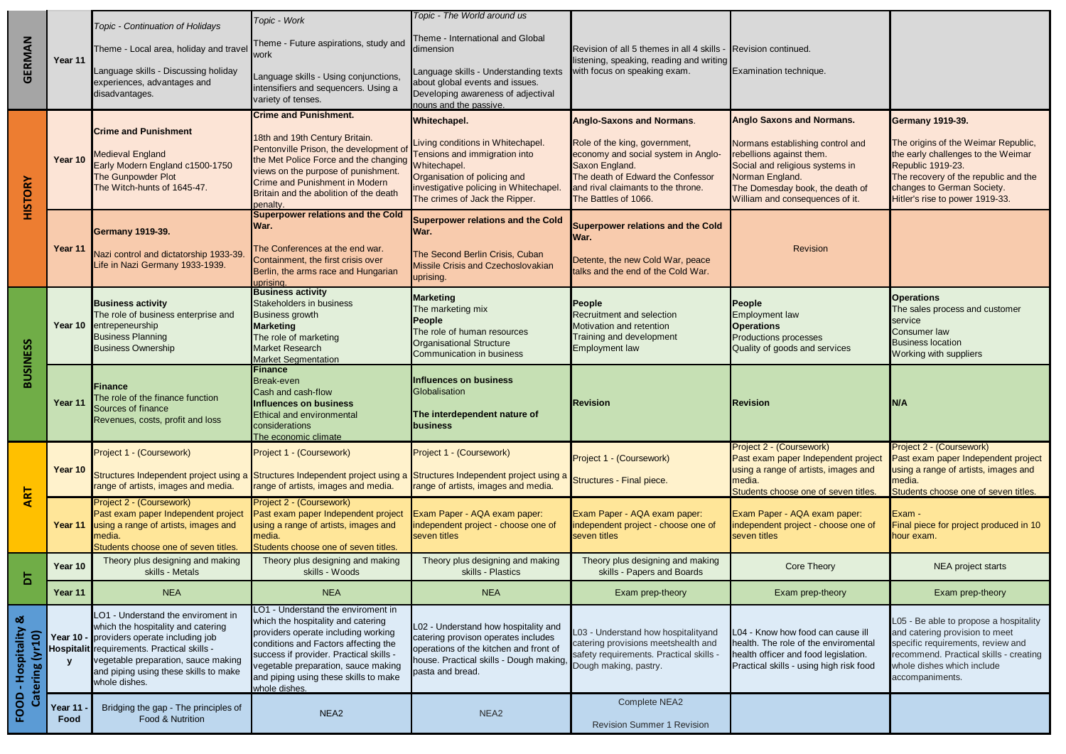|                                             | Year 11         | Topic - Continuation of Holidays                                                                                                                                                                                                                                      | Topic - Work                                                                                                                                                                                                                                                                                        | Topic - The World around us                                                                                                                                                          |                                                                                                                                                                                           |                                                                                                                                                                                          |                                                                                                                                                                                   |
|---------------------------------------------|-----------------|-----------------------------------------------------------------------------------------------------------------------------------------------------------------------------------------------------------------------------------------------------------------------|-----------------------------------------------------------------------------------------------------------------------------------------------------------------------------------------------------------------------------------------------------------------------------------------------------|--------------------------------------------------------------------------------------------------------------------------------------------------------------------------------------|-------------------------------------------------------------------------------------------------------------------------------------------------------------------------------------------|------------------------------------------------------------------------------------------------------------------------------------------------------------------------------------------|-----------------------------------------------------------------------------------------------------------------------------------------------------------------------------------|
| GERMAN                                      |                 | Theme - Local area, holiday and travel                                                                                                                                                                                                                                | Theme - Future aspirations, study and<br>work                                                                                                                                                                                                                                                       | Theme - International and Global<br>dimension                                                                                                                                        | Revision of all 5 themes in all 4 skills - Revision continued.<br>listening, speaking, reading and writing                                                                                |                                                                                                                                                                                          |                                                                                                                                                                                   |
|                                             |                 | Language skills - Discussing holiday<br>experiences, advantages and<br>disadvantages.                                                                                                                                                                                 | Language skills - Using conjunctions,<br>intensifiers and sequencers. Using a<br>variety of tenses.                                                                                                                                                                                                 | Language skills - Understanding texts<br>about global events and issues.<br>Developing awareness of adjectival<br>nouns and the passive.                                             | with focus on speaking exam.                                                                                                                                                              | Examination technique.                                                                                                                                                                   |                                                                                                                                                                                   |
|                                             |                 |                                                                                                                                                                                                                                                                       | <b>Crime and Punishment.</b>                                                                                                                                                                                                                                                                        | <b>Whitechapel.</b>                                                                                                                                                                  | <b>Anglo-Saxons and Normans.</b>                                                                                                                                                          | <b>Anglo Saxons and Normans.</b>                                                                                                                                                         | <b>Germany 1919-39.</b>                                                                                                                                                           |
| <b>HISTORY</b>                              | Year 10         | <b>Crime and Punishment</b><br><b>Medieval England</b><br>Early Modern England c1500-1750<br><b>The Gunpowder Plot</b><br>The Witch-hunts of 1645-47.                                                                                                                 | 18th and 19th Century Britain.<br>Pentonville Prison, the development of<br>the Met Police Force and the changing Whitechapel.<br>views on the purpose of punishment.<br><b>Crime and Punishment in Modern</b><br>Britain and the abolition of the death<br>penalty.                                | Living conditions in Whitechapel.<br>Tensions and immigration into<br>Organisation of policing and<br>investigative policing in Whitechapel<br>The crimes of Jack the Ripper.        | Role of the king, government,<br>economy and social system in Anglo-<br>Saxon England.<br>The death of Edward the Confessor<br>and rival claimants to the throne.<br>The Battles of 1066. | Normans establishing control and<br>rebellions against them.<br>Social and religious systems in<br>Norman England.<br>The Domesday book, the death of<br>William and consequences of it. | The origins of the Weimar R<br>the early challenges to the W<br>Republic 1919-23.<br>The recovery of the republic<br>changes to German Society.<br>Hitler's rise to power 1919-33 |
|                                             |                 |                                                                                                                                                                                                                                                                       | <b>Superpower relations and the Cold</b><br>War.                                                                                                                                                                                                                                                    | <b>Superpower relations and the Cold</b>                                                                                                                                             | <b>Superpower relations and the Cold</b>                                                                                                                                                  |                                                                                                                                                                                          |                                                                                                                                                                                   |
|                                             | Year 11         | <b>Germany 1919-39.</b><br>Nazi control and dictatorship 1933-39.<br>Life in Nazi Germany 1933-1939.                                                                                                                                                                  | The Conferences at the end war.<br>Containment, the first crisis over<br>Berlin, the arms race and Hungarian<br>uprising.                                                                                                                                                                           | War.<br>The Second Berlin Crisis, Cuban<br><b>Missile Crisis and Czechoslovakian</b><br>uprising.                                                                                    | War.<br>Detente, the new Cold War, peace<br>talks and the end of the Cold War.                                                                                                            | Revision                                                                                                                                                                                 |                                                                                                                                                                                   |
|                                             |                 | <b>Business activity</b><br>The role of business enterprise and<br>Year 10 entrepeneurship<br><b>Business Planning</b><br><b>Business Ownership</b>                                                                                                                   | <b>Business activity</b><br><b>Stakeholders in business</b><br><b>Business growth</b><br><b>Marketing</b><br>The role of marketing<br><b>Market Research</b><br><b>Market Segmentation</b>                                                                                                          | <b>Marketing</b><br>The marketing mix<br><b>People</b><br>The role of human resources<br><b>Organisational Structure</b><br><b>Communication in business</b>                         | <b>People</b><br><b>Recruitment and selection</b><br>Motivation and retention<br><b>Training and development</b><br><b>Employment law</b>                                                 | <b>People</b><br><b>Employment law</b><br><b>Operations</b><br><b>Productions processes</b><br>Quality of goods and services                                                             | <b>Operations</b><br>The sales process and custo<br>service<br><b>Consumer law</b><br><b>Business location</b><br>Working with suppliers                                          |
| <b>BUSINESS</b>                             | Year 11         | <b>IFinance</b><br>The role of the finance function<br>Sources of finance<br>Revenues, costs, profit and loss                                                                                                                                                         | <b>Finance</b><br><b>Break-even</b><br>Cash and cash-flow<br>Influences on business<br><b>Ethical and environmental</b><br>considerations<br>The economic climate                                                                                                                                   | <b>Influences on business</b><br>Globalisation<br>The interdependent nature of<br>business                                                                                           | <b>Revision</b>                                                                                                                                                                           | <b>Revision</b>                                                                                                                                                                          | <b>N/A</b>                                                                                                                                                                        |
|                                             |                 | Project 1 - (Coursework)                                                                                                                                                                                                                                              | Project 1 - (Coursework)                                                                                                                                                                                                                                                                            | Project 1 - (Coursework)                                                                                                                                                             | Project 1 - (Coursework)                                                                                                                                                                  | Project 2 - (Coursework)<br>Past exam paper Independent project                                                                                                                          | Project 2 - (Coursework)<br>Past exam paper Independe                                                                                                                             |
|                                             | Year 10         | Structures Independent project using a Structures Independent project using a Structures Independent project using a Structures - Final piece.<br>range of artists, images and media.                                                                                 | range of artists, images and media.                                                                                                                                                                                                                                                                 | range of artists, images and media.                                                                                                                                                  |                                                                                                                                                                                           | using a range of artists, images and<br>media.<br>Students choose one of seven titles.                                                                                                   | using a range of artists, image<br>media.<br>Students choose one of seve                                                                                                          |
| ART                                         |                 | Project 2 - (Coursework)<br>Past exam paper Independent project<br>Year 11 using a range of artists, images and<br>media.<br>Students choose one of seven titles.                                                                                                     | Project 2 - (Coursework)<br>Past exam paper Independent project<br>using a range of artists, images and<br>media.<br>Students choose one of seven titles.                                                                                                                                           | Exam Paper - AQA exam paper:<br>independent project - choose one of<br>seven titles                                                                                                  | Exam Paper - AQA exam paper:<br>independent project - choose one of<br>seven titles                                                                                                       | Exam Paper - AQA exam paper:<br>independent project - choose one of<br>seven titles                                                                                                      | Exam -<br>Final piece for project produc<br>hour exam.                                                                                                                            |
| $\overline{a}$                              | Year 10         | Theory plus designing and making<br>skills - Metals                                                                                                                                                                                                                   | Theory plus designing and making<br>skills - Woods                                                                                                                                                                                                                                                  | Theory plus designing and making<br>skills - Plastics                                                                                                                                | Theory plus designing and making<br>skills - Papers and Boards                                                                                                                            | <b>Core Theory</b>                                                                                                                                                                       | <b>NEA</b> project starts                                                                                                                                                         |
|                                             | Year 11         | <b>NEA</b>                                                                                                                                                                                                                                                            | <b>NEA</b>                                                                                                                                                                                                                                                                                          | <b>NEA</b>                                                                                                                                                                           | Exam prep-theory                                                                                                                                                                          | Exam prep-theory                                                                                                                                                                         | Exam prep-theory                                                                                                                                                                  |
| <u>ಳ</u><br>- Hospitality<br>r10<br>atering |                 | -O1 - Understand the enviroment in<br>which the hospitality and catering<br>Year 10 - providers operate including job<br>Hospitalit requirements. Practical skills -<br>vegetable preparation, sauce making<br>and piping using these skills to make<br>whole dishes. | LO1 - Understand the enviroment in<br>which the hospitality and catering<br>providers operate including working<br>conditions and Factors affecting the<br>success if provider. Practical skills -<br>vegetable preparation, sauce making<br>and piping using these skills to make<br>whole dishes. | L02 - Understand how hospitality and<br>catering provison operates includes<br>operations of the kitchen and front of<br>house. Practical skills - Dough making,<br>pasta and bread. | L03 - Understand how hospitalityand<br>catering provisions meetshealth and<br>safety requirements. Practical skills<br>Dough making, pastry.                                              | L04 - Know how food can cause ill<br>health. The role of the enviromental<br>health officer and food legislation.<br>Practical skills - using high risk food                             | L05 - Be able to propose a h<br>and catering provision to me<br>specific requirements, reviev<br>recommend. Practical skills -<br>whole dishes which include<br>accompaniments.   |
| FOOD                                        | Year 11<br>Food | Bridging the gap - The principles of<br>Food & Nutrition                                                                                                                                                                                                              | NEA <sub>2</sub>                                                                                                                                                                                                                                                                                    | NEA <sub>2</sub>                                                                                                                                                                     | <b>Complete NEA2</b><br><b>Revision Summer 1 Revision</b>                                                                                                                                 |                                                                                                                                                                                          |                                                                                                                                                                                   |

| Revision continued.<br>Examination technique.                                                                                                                                            |                                                                                                                                                                                                          |
|------------------------------------------------------------------------------------------------------------------------------------------------------------------------------------------|----------------------------------------------------------------------------------------------------------------------------------------------------------------------------------------------------------|
| <b>Anglo Saxons and Normans.</b>                                                                                                                                                         | <b>Germany 1919-39.</b>                                                                                                                                                                                  |
| Normans establishing control and<br>rebellions against them.<br>Social and religious systems in<br>Norman England.<br>The Domesday book, the death of<br>William and consequences of it. | The origins of the Weimar Republic,<br>the early challenges to the Weimar<br>Republic 1919-23.<br>The recovery of the republic and the<br>changes to German Society.<br>Hitler's rise to power 1919-33.  |
| <b>Revision</b>                                                                                                                                                                          |                                                                                                                                                                                                          |
| <b>People</b><br><b>Employment law</b><br><b>Operations</b><br><b>Productions processes</b><br>Quality of goods and services                                                             | <b>Operations</b><br>The sales process and customer<br>service<br>Consumer law<br><b>Business location</b><br>Working with suppliers                                                                     |
| <b>Revision</b>                                                                                                                                                                          | N/A                                                                                                                                                                                                      |
| Project 2 - (Coursework)<br>Past exam paper Independent project<br>using a range of artists, images and<br>media.<br>Students choose one of seven titles.                                | Project 2 - (Coursework)<br>Past exam paper Independent project<br>using a range of artists, images and<br>media.<br>Students choose one of seven titles.                                                |
| Exam Paper - AQA exam paper:<br>independent project - choose one of<br>seven titles                                                                                                      | Exam -<br>Final piece for project produced in 10<br>hour exam.                                                                                                                                           |
| <b>Core Theory</b>                                                                                                                                                                       | <b>NEA project starts</b>                                                                                                                                                                                |
| Exam prep-theory                                                                                                                                                                         | Exam prep-theory                                                                                                                                                                                         |
| L04 - Know how food can cause ill<br>health. The role of the enviromental<br>health officer and food legislation.<br>Practical skills - using high risk food                             | L05 - Be able to propose a hospitality<br>and catering provision to meet<br>specific requirements, review and<br>recommend. Practical skills - creating<br>whole dishes which include<br>accompaniments. |
|                                                                                                                                                                                          |                                                                                                                                                                                                          |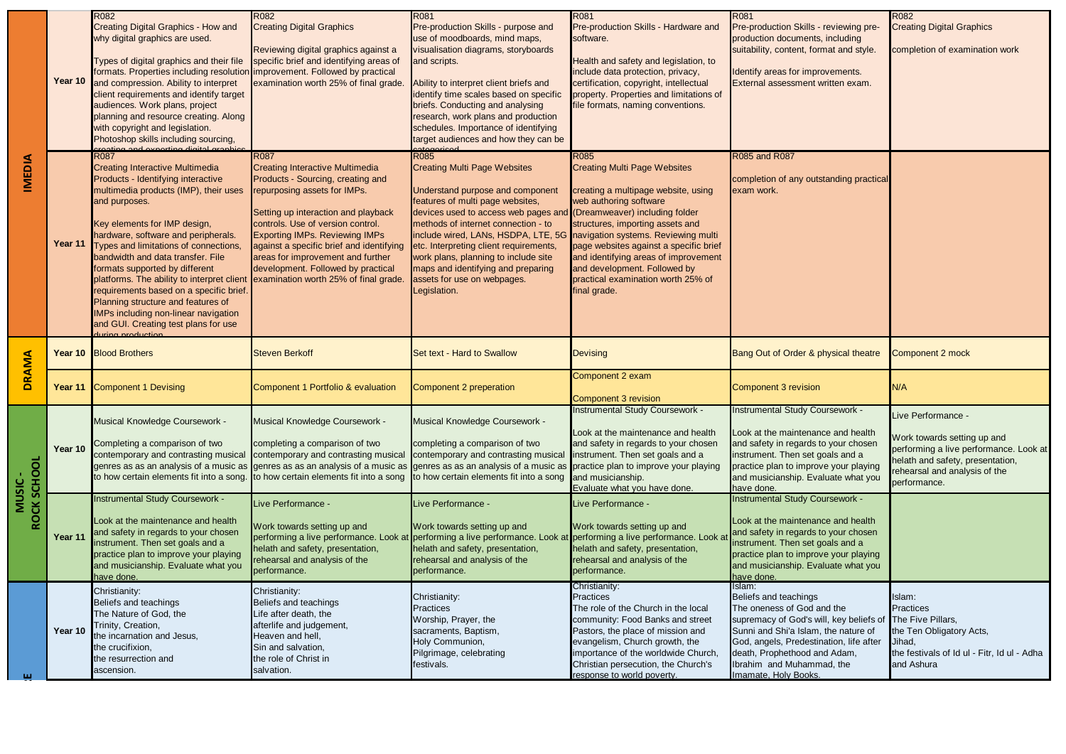|                             | Year 10 | <b>R082</b><br><b>Creating Digital Graphics - How and</b><br>why digital graphics are used.<br>Types of digital graphics and their file<br>formats. Properties including resolution improvement. Followed by practical<br>and compression. Ability to interpret<br>client requirements and identify target<br>audiences. Work plans, project<br>planning and resource creating. Along<br>with copyright and legislation.<br>Photoshop skills including sourcing,<br>ating and ovnorting digital graphic                                                                                | R082<br><b>Creating Digital Graphics</b><br>Reviewing digital graphics against a<br>specific brief and identifying areas of<br>examination worth 25% of final grade.                                                                                                                                                                                                                                            | R081<br>Pre-production Skills - purpose and<br>use of moodboards, mind maps,<br>visualisation diagrams, storyboards<br>and scripts.<br>Ability to interpret client briefs and<br>identify time scales based on specific<br>briefs. Conducting and analysing<br>research, work plans and production<br>schedules. Importance of identifying<br>target audiences and how they can be                                                                          | R081<br>Pre-production Skills - Hardware and<br>software.<br>Health and safety and legislation, to<br>include data protection, privacy,<br>certification, copyright, intellectual<br>property. Properties and limitations of<br>file formats, naming conventions.                                                                                          | <b>R081</b><br>Pre-production Skills - reviewing pre-<br>production documents, including<br>suitability, content, format and style.<br>Identify areas for improvements.<br>External assessment written exam.                                                                     | <b>R082</b><br><b>Creating Digital Gra</b><br>completion of exam                                                               |
|-----------------------------|---------|----------------------------------------------------------------------------------------------------------------------------------------------------------------------------------------------------------------------------------------------------------------------------------------------------------------------------------------------------------------------------------------------------------------------------------------------------------------------------------------------------------------------------------------------------------------------------------------|-----------------------------------------------------------------------------------------------------------------------------------------------------------------------------------------------------------------------------------------------------------------------------------------------------------------------------------------------------------------------------------------------------------------|-------------------------------------------------------------------------------------------------------------------------------------------------------------------------------------------------------------------------------------------------------------------------------------------------------------------------------------------------------------------------------------------------------------------------------------------------------------|------------------------------------------------------------------------------------------------------------------------------------------------------------------------------------------------------------------------------------------------------------------------------------------------------------------------------------------------------------|----------------------------------------------------------------------------------------------------------------------------------------------------------------------------------------------------------------------------------------------------------------------------------|--------------------------------------------------------------------------------------------------------------------------------|
| <b>IMEDIA</b>               | Year 11 | <b>R087</b><br><b>Creating Interactive Multimedia</b><br>Products - Identifying interactive<br>multimedia products (IMP), their uses<br>and purposes.<br>Key elements for IMP design,<br>hardware, software and peripherals.<br>Types and limitations of connections,<br>bandwidth and data transfer. File<br>formats supported by different<br>platforms. The ability to interpret client<br>requirements based on a specific brief<br>Planning structure and features of<br><b>IMPs including non-linear navigation</b><br>and GUI. Creating test plans for use<br>during production | <b>R087</b><br><b>Creating Interactive Multimedia</b><br>Products - Sourcing, creating and<br>repurposing assets for IMPs.<br>Setting up interaction and playback<br>controls. Use of version control.<br><b>Exporting IMPs. Reviewing IMPs</b><br>against a specific brief and identifying<br>areas for improvement and further<br>development. Followed by practical<br>examination worth 25% of final grade. | <b>R085</b><br><b>Creating Multi Page Websites</b><br>Understand purpose and component<br>features of multi page websites,<br>devices used to access web pages and<br>methods of internet connection - to<br>include wired, LANs, HSDPA, LTE, 5G navigation systems. Reviewing multi<br>etc. Interpreting client requirements,<br>work plans, planning to include site<br>maps and identifying and preparing<br>assets for use on webpages.<br>Legislation. | R085<br><b>Creating Multi Page Websites</b><br>creating a multipage website, using<br>web authoring software<br>(Dreamweaver) including folder<br>structures, importing assets and<br>page websites against a specific brief<br>and identifying areas of improvement<br>and development. Followed by<br>practical examination worth 25% of<br>final grade. | <b>R085 and R087</b><br>completion of any outstanding practical<br>exam work.                                                                                                                                                                                                    |                                                                                                                                |
| <b>DRAMA</b>                |         | Year 10 Blood Brothers                                                                                                                                                                                                                                                                                                                                                                                                                                                                                                                                                                 | <b>Steven Berkoff</b>                                                                                                                                                                                                                                                                                                                                                                                           | Set text - Hard to Swallow                                                                                                                                                                                                                                                                                                                                                                                                                                  | <b>Devising</b>                                                                                                                                                                                                                                                                                                                                            | Bang Out of Order & physical theatre                                                                                                                                                                                                                                             | <b>Component 2 mock</b>                                                                                                        |
|                             |         | <b>Year 11</b> Component 1 Devising                                                                                                                                                                                                                                                                                                                                                                                                                                                                                                                                                    | Component 1 Portfolio & evaluation                                                                                                                                                                                                                                                                                                                                                                              | Component 2 preperation                                                                                                                                                                                                                                                                                                                                                                                                                                     | Component 2 exam<br><b>Component 3 revision</b>                                                                                                                                                                                                                                                                                                            | <b>Component 3 revision</b>                                                                                                                                                                                                                                                      | N/A                                                                                                                            |
| SCHOOL                      | Year 10 | Musical Knowledge Coursework -<br>Completing a comparison of two<br>contemporary and contrasting musical<br>to how certain elements fit into a song. to how certain elements fit into a song                                                                                                                                                                                                                                                                                                                                                                                           | <b>Musical Knowledge Coursework -</b><br>completing a comparison of two<br>contemporary and contrasting musical<br>genres as as an analysis of a music as genres as as an analysis of a music as genres as as an analysis of a music as practice plan to improve your playing                                                                                                                                   | <b>Musical Knowledge Coursework -</b><br>completing a comparison of two<br>contemporary and contrasting musical<br>to how certain elements fit into a song                                                                                                                                                                                                                                                                                                  | <b>Instrumental Study Coursework -</b><br>Look at the maintenance and health<br>and safety in regards to your chosen<br>instrument. Then set goals and a<br>and musicianship.<br>Evaluate what you have done.                                                                                                                                              | Instrumental Study Coursework -<br>Look at the maintenance and health<br>and safety in regards to your chosen<br>instrument. Then set goals and a<br>practice plan to improve your playing<br>and musicianship. Evaluate what you<br>have done.                                  | Live Performance<br>Work towards settin<br>performing a live pe<br>helath and safety, p<br>rehearsal and analy<br>performance. |
| <b>MUSIC</b><br><b>ROCK</b> | Year 11 | nstrumental Study Coursework -<br>Look at the maintenance and health<br>and safety in regards to your chosen<br>instrument. Then set goals and a<br>practice plan to improve your playing<br>and musicianship. Evaluate what you<br>have done.                                                                                                                                                                                                                                                                                                                                         | Live Performance -<br>Work towards setting up and<br>performing a live performance. Look at<br>helath and safety, presentation,<br>rehearsal and analysis of the<br>performance.                                                                                                                                                                                                                                | Live Performance -<br>Work towards setting up and<br>performing a live performance. Look a<br>helath and safety, presentation,<br>rehearsal and analysis of the<br>performance.                                                                                                                                                                                                                                                                             | Live Performance -<br>Work towards setting up and<br>performing a live performance. Look at<br>helath and safety, presentation,<br>rehearsal and analysis of the<br>performance.                                                                                                                                                                           | <b>Instrumental Study Coursework -</b><br>Look at the maintenance and health<br>and safety in regards to your chosen<br>instrument. Then set goals and a<br>practice plan to improve your playing<br>and musicianship. Evaluate what you<br>have done.                           |                                                                                                                                |
|                             | Year 10 | Christianity:<br>Beliefs and teachings<br>The Nature of God, the<br>Trinity, Creation,<br>the incarnation and Jesus,<br>the crucifixion,<br>the resurrection and<br>ascension.                                                                                                                                                                                                                                                                                                                                                                                                         | Christianity:<br>Beliefs and teachings<br>Life after death, the<br>afterlife and judgement,<br>Heaven and hell,<br>Sin and salvation,<br>the role of Christ in<br>salvation.                                                                                                                                                                                                                                    | Christianity:<br>Practices<br>Worship, Prayer, the<br>sacraments, Baptism,<br>Holy Communion,<br>Pilgrimage, celebrating<br>festivals.                                                                                                                                                                                                                                                                                                                      | Christianity:<br>Practices<br>The role of the Church in the local<br>community: Food Banks and street<br>Pastors, the place of mission and<br>evangelism, Church growth, the<br>importance of the worldwide Church,<br>Christian persecution, the Church's<br>response to world poverty.                                                                   | Islam:<br>Beliefs and teachings<br>The oneness of God and the<br>supremacy of God's will, key beliefs of<br>Sunni and Shi'a Islam, the nature of<br>God, angels, Predestination, life after<br>death, Prophethood and Adam,<br>Ibrahim and Muhammad, the<br>Imamate, Holy Books. | Islam:<br>Practices<br>The Five Pillars,<br>the Ten Obligatory.<br>Jihad,<br>the festivals of Id ul<br>and Ashura              |

| R081                                                                                                                                                                                                                                                                                                        |                                                           |
|-------------------------------------------------------------------------------------------------------------------------------------------------------------------------------------------------------------------------------------------------------------------------------------------------------------|-----------------------------------------------------------|
|                                                                                                                                                                                                                                                                                                             | <b>R082</b>                                               |
| Pre-production Skills - reviewing pre-                                                                                                                                                                                                                                                                      | <b>Creating Digital Graphics</b>                          |
| production documents, including                                                                                                                                                                                                                                                                             |                                                           |
| suitability, content, format and style.                                                                                                                                                                                                                                                                     | completion of examination work                            |
|                                                                                                                                                                                                                                                                                                             |                                                           |
| Identify areas for improvements.                                                                                                                                                                                                                                                                            |                                                           |
| External assessment written exam.                                                                                                                                                                                                                                                                           |                                                           |
|                                                                                                                                                                                                                                                                                                             |                                                           |
|                                                                                                                                                                                                                                                                                                             |                                                           |
|                                                                                                                                                                                                                                                                                                             |                                                           |
|                                                                                                                                                                                                                                                                                                             |                                                           |
|                                                                                                                                                                                                                                                                                                             |                                                           |
|                                                                                                                                                                                                                                                                                                             |                                                           |
| <b>R085 and R087</b>                                                                                                                                                                                                                                                                                        |                                                           |
|                                                                                                                                                                                                                                                                                                             |                                                           |
| completion of any outstanding practical                                                                                                                                                                                                                                                                     |                                                           |
| exam work.                                                                                                                                                                                                                                                                                                  |                                                           |
|                                                                                                                                                                                                                                                                                                             |                                                           |
|                                                                                                                                                                                                                                                                                                             |                                                           |
|                                                                                                                                                                                                                                                                                                             |                                                           |
|                                                                                                                                                                                                                                                                                                             |                                                           |
|                                                                                                                                                                                                                                                                                                             |                                                           |
|                                                                                                                                                                                                                                                                                                             |                                                           |
|                                                                                                                                                                                                                                                                                                             |                                                           |
|                                                                                                                                                                                                                                                                                                             |                                                           |
|                                                                                                                                                                                                                                                                                                             |                                                           |
|                                                                                                                                                                                                                                                                                                             |                                                           |
|                                                                                                                                                                                                                                                                                                             |                                                           |
|                                                                                                                                                                                                                                                                                                             |                                                           |
|                                                                                                                                                                                                                                                                                                             |                                                           |
|                                                                                                                                                                                                                                                                                                             |                                                           |
|                                                                                                                                                                                                                                                                                                             |                                                           |
| Bang Out of Order & physical theatre                                                                                                                                                                                                                                                                        |                                                           |
|                                                                                                                                                                                                                                                                                                             | Component 2 mock                                          |
|                                                                                                                                                                                                                                                                                                             |                                                           |
|                                                                                                                                                                                                                                                                                                             | N/A                                                       |
| <b>Component 3 revision</b>                                                                                                                                                                                                                                                                                 |                                                           |
|                                                                                                                                                                                                                                                                                                             |                                                           |
| <b>Instrumental Study Coursework</b>                                                                                                                                                                                                                                                                        | Live Performance -                                        |
|                                                                                                                                                                                                                                                                                                             |                                                           |
|                                                                                                                                                                                                                                                                                                             | Work towards setting up and                               |
|                                                                                                                                                                                                                                                                                                             | performing a live performance. Look at                    |
|                                                                                                                                                                                                                                                                                                             | helath and safety, presentation,                          |
| Look at the maintenance and health<br>and safety in regards to your chosen<br>instrument. Then set goals and a<br>practice plan to improve your playing                                                                                                                                                     | rehearsal and analysis of the                             |
|                                                                                                                                                                                                                                                                                                             | performance.                                              |
|                                                                                                                                                                                                                                                                                                             |                                                           |
|                                                                                                                                                                                                                                                                                                             |                                                           |
|                                                                                                                                                                                                                                                                                                             |                                                           |
|                                                                                                                                                                                                                                                                                                             |                                                           |
|                                                                                                                                                                                                                                                                                                             |                                                           |
|                                                                                                                                                                                                                                                                                                             |                                                           |
|                                                                                                                                                                                                                                                                                                             |                                                           |
|                                                                                                                                                                                                                                                                                                             |                                                           |
| and musicianship. Evaluate what you<br>have done.<br><b>Instrumental Study Coursework -</b><br>Look at the maintenance and health<br>and safety in regards to your chosen<br>instrument. Then set goals and a<br>practice plan to improve your playing<br>and musicianship. Evaluate what you<br>have done. |                                                           |
| Islam:                                                                                                                                                                                                                                                                                                      |                                                           |
| Beliefs and teachings                                                                                                                                                                                                                                                                                       | Islam:                                                    |
| The oneness of God and the                                                                                                                                                                                                                                                                                  | <b>Practices</b>                                          |
|                                                                                                                                                                                                                                                                                                             | The Five Pillars,                                         |
| supremacy of God's will, key beliefs of<br>Sunni and Shi'a Islam, the nature of                                                                                                                                                                                                                             | the Ten Obligatory Acts,                                  |
| God, angels, Predestination, life after                                                                                                                                                                                                                                                                     | Jihad,                                                    |
|                                                                                                                                                                                                                                                                                                             |                                                           |
| death, Prophethood and Adam,<br>Ibrahim and Muhammad, the                                                                                                                                                                                                                                                   | the festivals of Id ul - Fitr, Id ul - Adha<br>and Ashura |